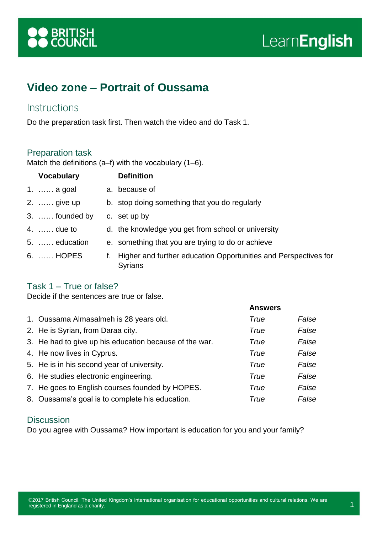

# LearnEnglish

## **Video zone – Portrait of Oussama**

#### **Instructions**

Do the preparation task first. Then watch the video and do Task 1.

#### Preparation task

Match the definitions (a–f) with the vocabulary (1–6).

| <b>Vocabulary</b> |    | <b>Definition</b>                                                          |
|-------------------|----|----------------------------------------------------------------------------|
| 1.  a goal        |    | a. because of                                                              |
| 2.  give up       |    | b. stop doing something that you do regularly                              |
| 3.  founded by    |    | c. set up by                                                               |
| 4. $\dots$ due to |    | d. the knowledge you get from school or university                         |
| 5.  education     |    | e. something that you are trying to do or achieve                          |
| 6.  HOPES         | f. | Higher and further education Opportunities and Perspectives for<br>Syrians |

#### Task 1 – True or false?

Decide if the sentences are true or false.

|                                                        | <b>Answers</b> |       |
|--------------------------------------------------------|----------------|-------|
| 1. Oussama Almasalmeh is 28 years old.                 | True           | False |
| 2. He is Syrian, from Daraa city.                      | True           | False |
| 3. He had to give up his education because of the war. | True           | False |
| 4. He now lives in Cyprus.                             | True           | False |
| 5. He is in his second year of university.             | True           | False |
| 6. He studies electronic engineering.                  | True           | False |
| 7. He goes to English courses founded by HOPES.        | True           | False |
| 8. Oussama's goal is to complete his education.        | True           | False |

#### **Discussion**

Do you agree with Oussama? How important is education for you and your family?